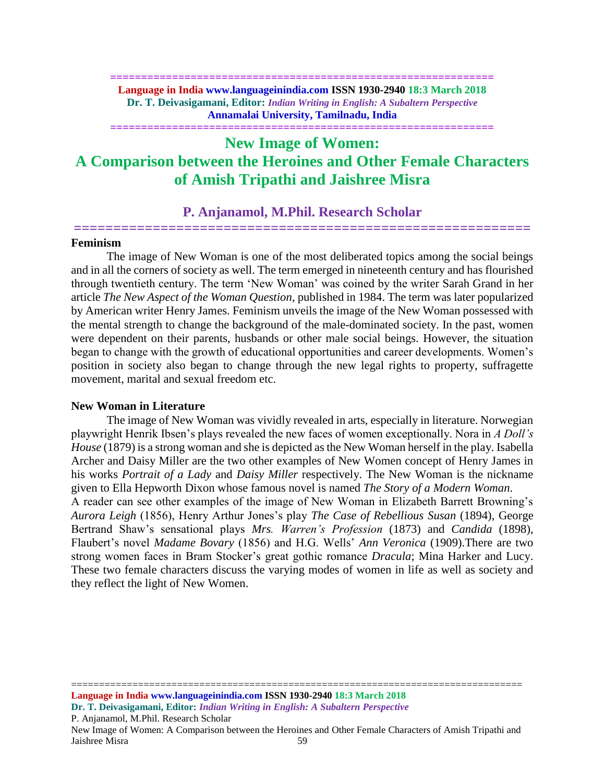### **============================================================== Language in India www.languageinindia.com ISSN 1930-2940 18:3 March 2018 Dr. T. Deivasigamani, Editor:** *Indian Writing in English: A Subaltern Perspective* **Annamalai University, Tamilnadu, India**

**==============================================================**

# **New Image of Women: A Comparison between the Heroines and Other Female Characters of Amish Tripathi and Jaishree Misra**

# **P. Anjanamol, M.Phil. Research Scholar ==========================================================**

#### **Feminism**

The image of New Woman is one of the most deliberated topics among the social beings and in all the corners of society as well. The term emerged in nineteenth century and has flourished through twentieth century. The term 'New Woman' was coined by the writer Sarah Grand in her article *The New Aspect of the Woman Question*, published in 1984. The term was later popularized by American writer Henry James. Feminism unveils the image of the New Woman possessed with the mental strength to change the background of the male-dominated society. In the past, women were dependent on their parents, husbands or other male social beings. However, the situation began to change with the growth of educational opportunities and career developments. Women's position in society also began to change through the new legal rights to property, suffragette movement, marital and sexual freedom etc.

# **New Woman in Literature**

The image of New Woman was vividly revealed in arts, especially in literature. Norwegian playwright Henrik Ibsen's plays revealed the new faces of women exceptionally. Nora in *A Doll's House* (1879) is a strong woman and she is depicted as the New Woman herself in the play. Isabella Archer and Daisy Miller are the two other examples of New Women concept of Henry James in his works *Portrait of a Lady* and *Daisy Miller* respectively. The New Woman is the nickname given to Ella Hepworth Dixon whose famous novel is named *The Story of a Modern Woman*.

A reader can see other examples of the image of New Woman in Elizabeth Barrett Browning's *Aurora Leigh* (1856), Henry Arthur Jones's play *The Case of Rebellious Susan* (1894), George Bertrand Shaw's sensational plays *Mrs. Warren's Profession* (1873) and *Candida* (1898), Flaubert's novel *Madame Bovary* (1856) and H.G. Wells' *Ann Veronica* (1909).There are two strong women faces in Bram Stocker's great gothic romance *Dracula*; Mina Harker and Lucy. These two female characters discuss the varying modes of women in life as well as society and they reflect the light of New Women.

================================================================================= **Language in India www.languageinindia.com ISSN 1930-2940 18:3 March 2018 Dr. T. Deivasigamani, Editor:** *Indian Writing in English: A Subaltern Perspective*

P. Anjanamol, M.Phil. Research Scholar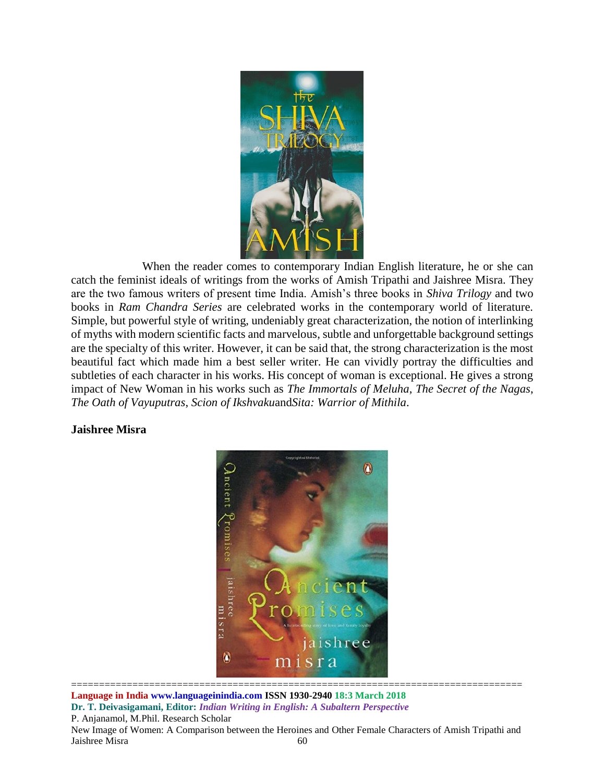

When the reader comes to contemporary Indian English literature, he or she can catch the feminist ideals of writings from the works of Amish Tripathi and Jaishree Misra. They are the two famous writers of present time India. Amish's three books in *Shiva Trilogy* and two books in *Ram Chandra Series* are celebrated works in the contemporary world of literature. Simple, but powerful style of writing, undeniably great characterization, the notion of interlinking of myths with modern scientific facts and marvelous, subtle and unforgettable background settings are the specialty of this writer. However, it can be said that, the strong characterization is the most beautiful fact which made him a best seller writer. He can vividly portray the difficulties and subtleties of each character in his works. His concept of woman is exceptional. He gives a strong impact of New Woman in his works such as *The Immortals of Meluha*, *The Secret of the Nagas*, *The Oath of Vayuputras*, *Scion of Ikshvaku*and*Sita: Warrior of Mithila*.

# **Jaishree Misra**



**Language in India www.languageinindia.com ISSN 1930-2940 18:3 March 2018 Dr. T. Deivasigamani, Editor:** *Indian Writing in English: A Subaltern Perspective* P. Anjanamol, M.Phil. Research Scholar New Image of Women: A Comparison between the Heroines and Other Female Characters of Amish Tripathi and Jaishree Misra 60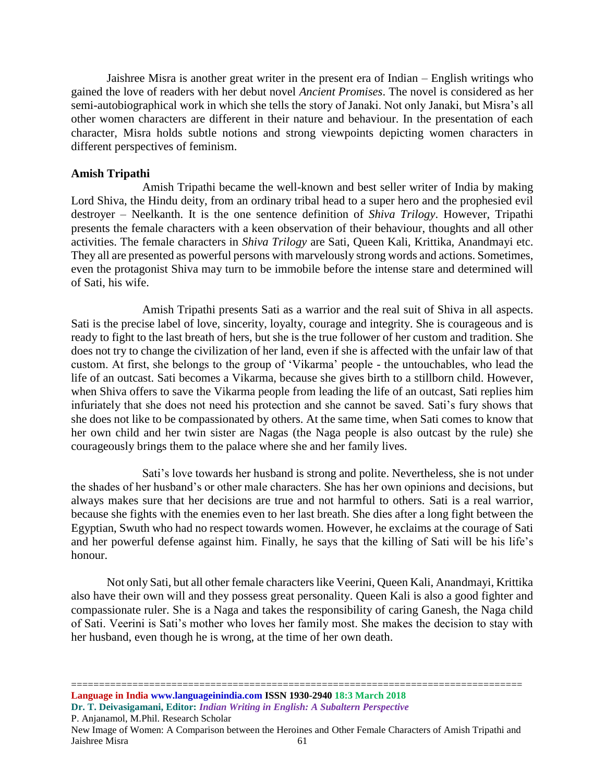Jaishree Misra is another great writer in the present era of Indian – English writings who gained the love of readers with her debut novel *Ancient Promises*. The novel is considered as her semi-autobiographical work in which she tells the story of Janaki. Not only Janaki, but Misra's all other women characters are different in their nature and behaviour. In the presentation of each character, Misra holds subtle notions and strong viewpoints depicting women characters in different perspectives of feminism.

### **Amish Tripathi**

Amish Tripathi became the well-known and best seller writer of India by making Lord Shiva, the Hindu deity, from an ordinary tribal head to a super hero and the prophesied evil destroyer – Neelkanth. It is the one sentence definition of *Shiva Trilogy*. However, Tripathi presents the female characters with a keen observation of their behaviour, thoughts and all other activities. The female characters in *Shiva Trilogy* are Sati, Queen Kali, Krittika, Anandmayi etc. They all are presented as powerful persons with marvelously strong words and actions. Sometimes, even the protagonist Shiva may turn to be immobile before the intense stare and determined will of Sati, his wife.

Amish Tripathi presents Sati as a warrior and the real suit of Shiva in all aspects. Sati is the precise label of love, sincerity, loyalty, courage and integrity. She is courageous and is ready to fight to the last breath of hers, but she is the true follower of her custom and tradition. She does not try to change the civilization of her land, even if she is affected with the unfair law of that custom. At first, she belongs to the group of 'Vikarma' people - the untouchables, who lead the life of an outcast. Sati becomes a Vikarma, because she gives birth to a stillborn child. However, when Shiva offers to save the Vikarma people from leading the life of an outcast, Sati replies him infuriately that she does not need his protection and she cannot be saved. Sati's fury shows that she does not like to be compassionated by others. At the same time, when Sati comes to know that her own child and her twin sister are Nagas (the Naga people is also outcast by the rule) she courageously brings them to the palace where she and her family lives.

Sati's love towards her husband is strong and polite. Nevertheless, she is not under the shades of her husband's or other male characters. She has her own opinions and decisions, but always makes sure that her decisions are true and not harmful to others. Sati is a real warrior, because she fights with the enemies even to her last breath. She dies after a long fight between the Egyptian, Swuth who had no respect towards women. However, he exclaims at the courage of Sati and her powerful defense against him. Finally, he says that the killing of Sati will be his life's honour.

Not only Sati, but all other female characters like Veerini, Queen Kali, Anandmayi, Krittika also have their own will and they possess great personality. Queen Kali is also a good fighter and compassionate ruler. She is a Naga and takes the responsibility of caring Ganesh, the Naga child of Sati. Veerini is Sati's mother who loves her family most. She makes the decision to stay with her husband, even though he is wrong, at the time of her own death.

================================================================================= **Language in India www.languageinindia.com ISSN 1930-2940 18:3 March 2018 Dr. T. Deivasigamani, Editor:** *Indian Writing in English: A Subaltern Perspective*

P. Anjanamol, M.Phil. Research Scholar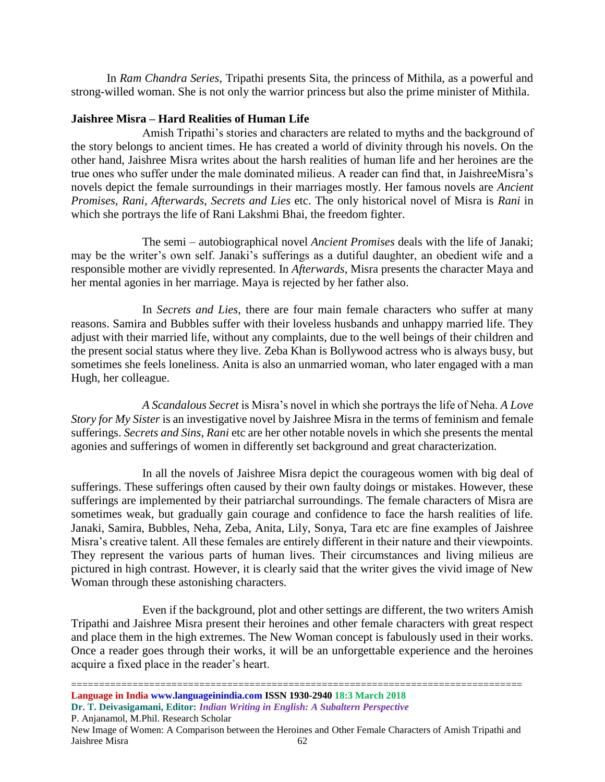In *Ram Chandra Series*, Tripathi presents Sita, the princess of Mithila, as a powerful and strong-willed woman. She is not only the warrior princess but also the prime minister of Mithila.

# **Jaishree Misra – Hard Realities of Human Life**

Amish Tripathi's stories and characters are related to myths and the background of the story belongs to ancient times. He has created a world of divinity through his novels. On the other hand, Jaishree Misra writes about the harsh realities of human life and her heroines are the true ones who suffer under the male dominated milieus. A reader can find that, in JaishreeMisra's novels depict the female surroundings in their marriages mostly. Her famous novels are *Ancient Promises*, *Rani*, *Afterwards*, *Secrets and Lies* etc. The only historical novel of Misra is *Rani* in which she portrays the life of Rani Lakshmi Bhai, the freedom fighter.

The semi – autobiographical novel *Ancient Promises* deals with the life of Janaki; may be the writer's own self. Janaki's sufferings as a dutiful daughter, an obedient wife and a responsible mother are vividly represented. In *Afterwards*, Misra presents the character Maya and her mental agonies in her marriage. Maya is rejected by her father also.

In *Secrets and Lies*, there are four main female characters who suffer at many reasons. Samira and Bubbles suffer with their loveless husbands and unhappy married life. They adjust with their married life, without any complaints, due to the well beings of their children and the present social status where they live. Zeba Khan is Bollywood actress who is always busy, but sometimes she feels loneliness. Anita is also an unmarried woman, who later engaged with a man Hugh, her colleague.

*A Scandalous Secret* is Misra's novel in which she portrays the life of Neha. *A Love Story for My Sister* is an investigative novel by Jaishree Misra in the terms of feminism and female sufferings. *Secrets and Sins*, *Rani* etc are her other notable novels in which she presents the mental agonies and sufferings of women in differently set background and great characterization.

In all the novels of Jaishree Misra depict the courageous women with big deal of sufferings. These sufferings often caused by their own faulty doings or mistakes. However, these sufferings are implemented by their patriarchal surroundings. The female characters of Misra are sometimes weak, but gradually gain courage and confidence to face the harsh realities of life. Janaki, Samira, Bubbles, Neha, Zeba, Anita, Lily, Sonya, Tara etc are fine examples of Jaishree Misra's creative talent. All these females are entirely different in their nature and their viewpoints. They represent the various parts of human lives. Their circumstances and living milieus are pictured in high contrast. However, it is clearly said that the writer gives the vivid image of New Woman through these astonishing characters.

Even if the background, plot and other settings are different, the two writers Amish Tripathi and Jaishree Misra present their heroines and other female characters with great respect and place them in the high extremes. The New Woman concept is fabulously used in their works. Once a reader goes through their works, it will be an unforgettable experience and the heroines acquire a fixed place in the reader's heart.

================================================================================= **Language in India www.languageinindia.com ISSN 1930-2940 18:3 March 2018 Dr. T. Deivasigamani, Editor:** *Indian Writing in English: A Subaltern Perspective*

P. Anjanamol, M.Phil. Research Scholar

New Image of Women: A Comparison between the Heroines and Other Female Characters of Amish Tripathi and Jaishree Misra 62